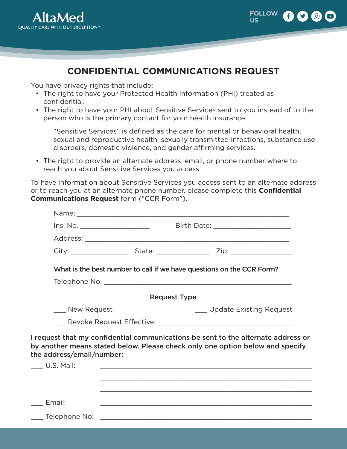



## **CONFIDENTIAL COMMUNICATIONS REQUEST**

You have privacy rights that include:

- The right to have your Protected Health Information (PHI) treated as confidential.
- The right to have your PHI about Sensitive Services sent to you instead of to the person who is the primary contact for your health insurance.

"Sensitive Services" is defined as the care for mental or behavioral health, sexual and reproductive health, sexually transmitted infections, substance use disorders, domestic violence, and gender affirming services.

• The right to provide an alternate address, email, or phone number where to reach you about Sensitive Services you access.

To have information about Sensitive Services you access sent to an alternate address or to reach you at an alternate phone number, please complete this **Confidential Communications Request** form ("CCR Form").

| lns. No. _______________________ |                     |                                                                                                                                                                    |  |
|----------------------------------|---------------------|--------------------------------------------------------------------------------------------------------------------------------------------------------------------|--|
|                                  |                     |                                                                                                                                                                    |  |
|                                  |                     |                                                                                                                                                                    |  |
|                                  |                     | What is the best number to call if we have questions on the CCR Form?                                                                                              |  |
|                                  |                     |                                                                                                                                                                    |  |
|                                  | <b>Request Type</b> |                                                                                                                                                                    |  |
| ___ New Request                  |                     | Update Existing Request                                                                                                                                            |  |
|                                  |                     |                                                                                                                                                                    |  |
| the address/email/number:        |                     | I request that my confidential communications be sent to the alternate address or<br>by another means stated below. Please check only one option below and specify |  |
| $\_\_\_\$ U.S. Mail:             |                     | <u> 1989 - Johann Stoff, amerikansk politiker (d. 1989)</u>                                                                                                        |  |
|                                  |                     |                                                                                                                                                                    |  |
|                                  |                     |                                                                                                                                                                    |  |
| Email:                           |                     |                                                                                                                                                                    |  |
| ___ Telephone No:                |                     |                                                                                                                                                                    |  |